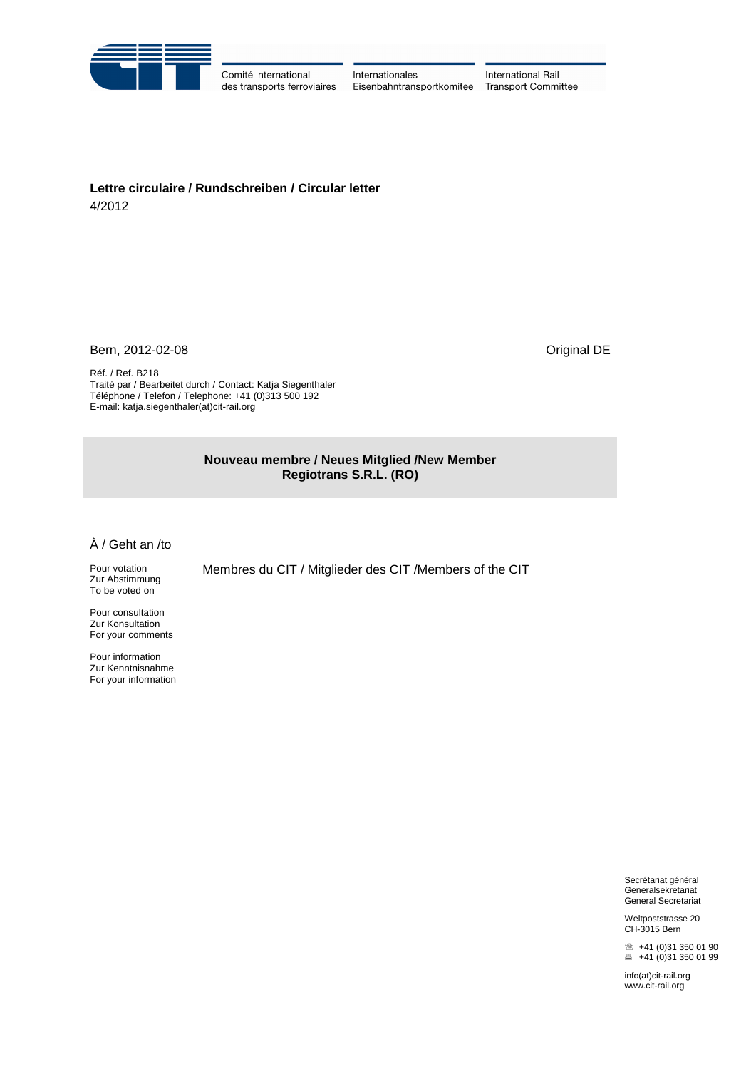

Comité international des transports ferroviaires

Internationales Eisenbahntransportkomitee

International Rail **Transport Committee** 

**Lettre circulaire / Rundschreiben / Circular letter** 4/2012

Bern, 2012-02-08 Criginal DE

Réf. / Ref. B218 Traité par / Bearbeitet durch / Contact: Katja Siegenthaler Téléphone / Telefon / Telephone: +41 (0)313 500 192 E-mail: katja.siegenthaler(at)cit-rail.org

> **Nouveau membre / Neues Mitglied /New Member Regiotrans S.R.L. (RO)**

Membres du CIT / Mitglieder des CIT /Members of the CIT

À / Geht an /to

Pour votation Zur Abstimmung To be voted on

Pour consultation Zur Konsultation For your comments

Pour information Zur Kenntnisnahme For your information

> Secrétariat général Generalsekretariat General Secretariat

> Weltpoststrasse 20 CH-3015 Bern

■ +41 (0)31 350 01 90  $\equiv$  +41 (0)31 350 01 99

[info\(at\)cit-rail.org](mailto:info@cit-rail.org) www.cit-rail.org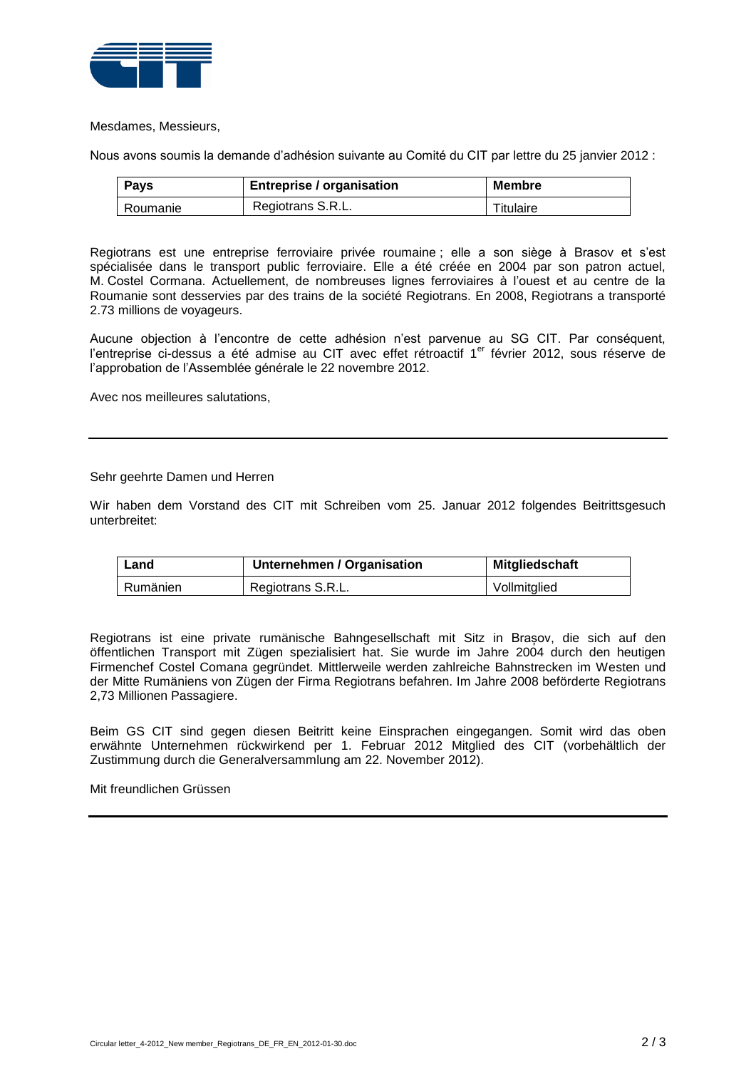

Mesdames, Messieurs,

Nous avons soumis la demande d'adhésion suivante au Comité du CIT par lettre du 25 janvier 2012 :

| Pays     | <b>Entreprise / organisation</b> | <b>Membre</b> |
|----------|----------------------------------|---------------|
| Roumanie | Regiotrans S.R.L.                | Titulaire     |

Regiotrans est une entreprise ferroviaire privée roumaine ; elle a son siège à Brasov et s'est spécialisée dans le transport public ferroviaire. Elle a été créée en 2004 par son patron actuel, M. Costel Cormana. Actuellement, de nombreuses lignes ferroviaires à l'ouest et au centre de la Roumanie sont desservies par des trains de la société Regiotrans. En 2008, Regiotrans a transporté 2.73 millions de voyageurs.

Aucune objection à l'encontre de cette adhésion n'est parvenue au SG CIT. Par conséquent, l'entreprise ci-dessus a été admise au CIT avec effet rétroactif 1<sup>er</sup> février 2012, sous réserve de l'approbation de l'Assemblée générale le 22 novembre 2012.

Avec nos meilleures salutations,

## Sehr geehrte Damen und Herren

Wir haben dem Vorstand des CIT mit Schreiben vom 25. Januar 2012 folgendes Beitrittsgesuch unterbreitet:

| Land     | Unternehmen / Organisation | Mitgliedschaft |
|----------|----------------------------|----------------|
| Rumänien | Regiotrans S.R.L.          | Vollmitglied   |

Regiotrans ist eine private [rumänische](http://de.wikipedia.org/wiki/Rum%C3%A4nien) Bahngesellschaft mit Sitz in [Brașov,](http://de.wikipedia.org/wiki/Bra%C8%99ov) die sich auf den [öffentlichen Transport](http://de.wikipedia.org/wiki/%C3%96ffentlicher_Verkehr) mit Zügen spezialisiert hat. Sie wurde im Jahre 2004 durch den heutigen Firmenchef Costel Comana gegründet. Mittlerweile werden zahlreiche Bahnstrecken im Westen und der Mitte Rumäniens von Zügen der Firma Regiotrans befahren. Im Jahre 2008 beförderte Regiotrans 2,73 Millionen Passagiere.

Beim GS CIT sind gegen diesen Beitritt keine Einsprachen eingegangen. Somit wird das oben erwähnte Unternehmen rückwirkend per 1. Februar 2012 Mitglied des CIT (vorbehältlich der Zustimmung durch die Generalversammlung am 22. November 2012).

Mit freundlichen Grüssen